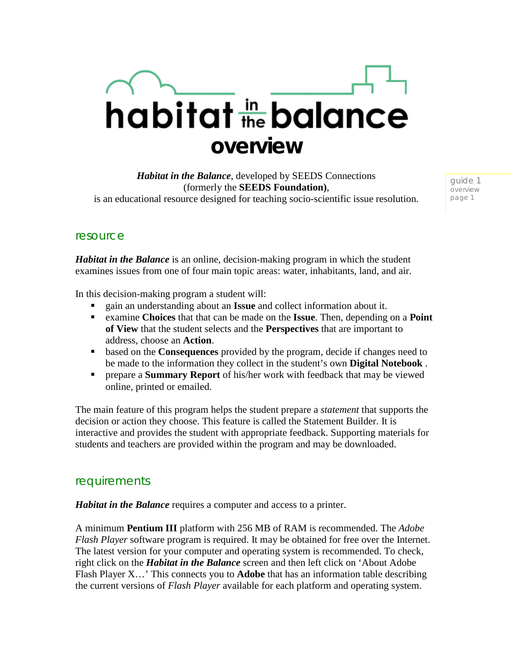# habitat the balance **overview**

*Habitat in the Balance*, developed by SEEDS Connections (formerly the **SEEDS Foundation)**, is an educational resource designed for teaching socio-scientific issue resolution.

guide 1 overview page 1

### resource

*Habitat in the Balance* is an online, decision-making program in which the student examines issues from one of four main topic areas: water, inhabitants, land, and air.

In this decision-making program a student will:

- gain an understanding about an **Issue** and collect information about it.
- examine **Choices** that that can be made on the **Issue**. Then, depending on a **Point of View** that the student selects and the **Perspectives** that are important to address, choose an **Action**.
- based on the **Consequences** provided by the program, decide if changes need to be made to the information they collect in the student's own **Digital Notebook** .
- prepare a **Summary Report** of his/her work with feedback that may be viewed online, printed or emailed.

The main feature of this program helps the student prepare a *statement* that supports the decision or action they choose. This feature is called the Statement Builder. It is interactive and provides the student with appropriate feedback. Supporting materials for students and teachers are provided within the program and may be downloaded.

#### requirements

*Habitat in the Balance* requires a computer and access to a printer.

A minimum **Pentium III** platform with 256 MB of RAM is recommended. The *Adobe Flash Player* software program is required. It may be obtained for free over the Internet. The latest version for your computer and operating system is recommended. To check, right click on the *Habitat in the Balance* screen and then left click on 'About Adobe Flash Player X…' This connects you to **Adobe** that has an information table describing the current versions of *Flash Player* available for each platform and operating system.